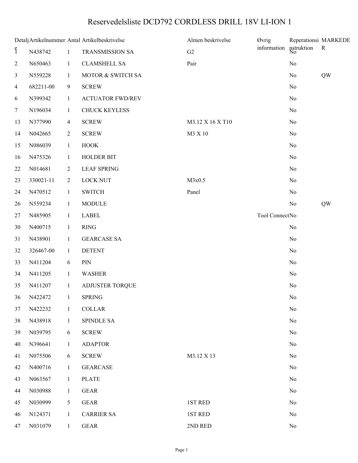## Reservedelsliste DCD792 CORDLESS DRILL 18V LI-ION 1

|                    |            |                | Detalj Artikelnummer Antal Artikelbeskrivelse | Almen beskrivelse | <b>Øvrig</b>   | nstruktion<br>No | Reperationsi MARKEDE<br>${\bf R}$ |
|--------------------|------------|----------------|-----------------------------------------------|-------------------|----------------|------------------|-----------------------------------|
| $\mathbf{\hat{S}}$ | N438742    | $\mathbf{1}$   | TRANSMISSION SA                               | G2                | information    |                  |                                   |
| $\overline{2}$     | N650463    | $\mathbf{1}$   | <b>CLAMSHELL SA</b>                           | Pair              |                | No               |                                   |
| 3                  | N559228    | $\mathbf{1}$   | MOTOR & SWITCH SA                             |                   |                | No               | QW                                |
| 4                  | 682211-00  | 9              | <b>SCREW</b>                                  |                   |                | No               |                                   |
| 6                  | N399342    | $\mathbf{1}$   | <b>ACTUATOR FWD/REV</b>                       |                   |                | No               |                                   |
| 7                  | N196034    | $\mathbf{1}$   | <b>CHUCK KEYLESS</b>                          |                   |                | No               |                                   |
| 13                 | N377990    | $\overline{4}$ | <b>SCREW</b>                                  | M3.12 X 16 X T10  |                | No               |                                   |
| 14                 | N042665    | $\overline{2}$ | <b>SCREW</b>                                  | M3 X 10           |                | No               |                                   |
| 15                 | N086039    | $\mathbf{1}$   | <b>HOOK</b>                                   |                   |                | No               |                                   |
| 16                 | N475326    | $\mathbf{1}$   | <b>HOLDER BIT</b>                             |                   |                | No               |                                   |
| 22                 | N014681    | $\overline{2}$ | <b>LEAF SPRING</b>                            |                   |                | No               |                                   |
| 23                 | 330021-11  | $\overline{2}$ | <b>LOCK NUT</b>                               | M3x0.5            |                | No               |                                   |
| 24                 | N470512    | $\mathbf{1}$   | <b>SWITCH</b>                                 | Panel             |                | No               |                                   |
| 26                 | N559234    | $\mathbf{1}$   | <b>MODULE</b>                                 |                   |                | No               | QW                                |
| 27                 | N485905    | $\mathbf{1}$   | <b>LABEL</b>                                  |                   | Tool ConnectNo |                  |                                   |
| 30                 | N400715    | $\mathbf{1}$   | <b>RING</b>                                   |                   |                | No               |                                   |
| 31                 | N438901    | $\mathbf{1}$   | <b>GEARCASE SA</b>                            |                   |                | No               |                                   |
| 32                 | 326467-00  | $\mathbf{1}$   | <b>DETENT</b>                                 |                   |                | No               |                                   |
| 33                 | N411204    | 6              | PIN                                           |                   |                | No               |                                   |
| 34                 | N411205    | $\mathbf{1}$   | <b>WASHER</b>                                 |                   |                | No               |                                   |
| 35                 | N411207    | $\mathbf{1}$   | <b>ADJUSTER TORQUE</b>                        |                   |                | $\rm No$         |                                   |
|                    | 36 N422472 | $\overline{1}$ | <b>SPRING</b>                                 |                   |                | No               |                                   |
| 37                 | N422232    | $\mathbf{1}$   | <b>COLLAR</b>                                 |                   |                | No               |                                   |
| 38                 | N438918    | $\mathbf{1}$   | <b>SPINDLE SA</b>                             |                   |                | No               |                                   |
| 39                 | N039795    | 6              | <b>SCREW</b>                                  |                   |                | No               |                                   |
| 40                 | N396641    | $\mathbf{1}$   | <b>ADAPTOR</b>                                |                   |                | No               |                                   |
| 41                 | N075506    | 6              | <b>SCREW</b>                                  | M3.12 X 13        |                | No               |                                   |
| 42                 | N400716    | $\mathbf{1}$   | <b>GEARCASE</b>                               |                   |                | No               |                                   |
| 43                 | N063567    | $\mathbf{1}$   | <b>PLATE</b>                                  |                   |                | No               |                                   |
| 44                 | N030988    | $\mathbf{1}$   | <b>GEAR</b>                                   |                   |                | No               |                                   |
| 45                 | N030999    | 5              | <b>GEAR</b>                                   | 1ST RED           |                | No               |                                   |
| 46                 | N124371    | $\mathbf{1}$   | <b>CARRIER SA</b>                             | 1ST RED           |                | No               |                                   |
| 47                 | N031079    | $\mathbf{1}$   | <b>GEAR</b>                                   | 2ND RED           |                | $\rm No$         |                                   |